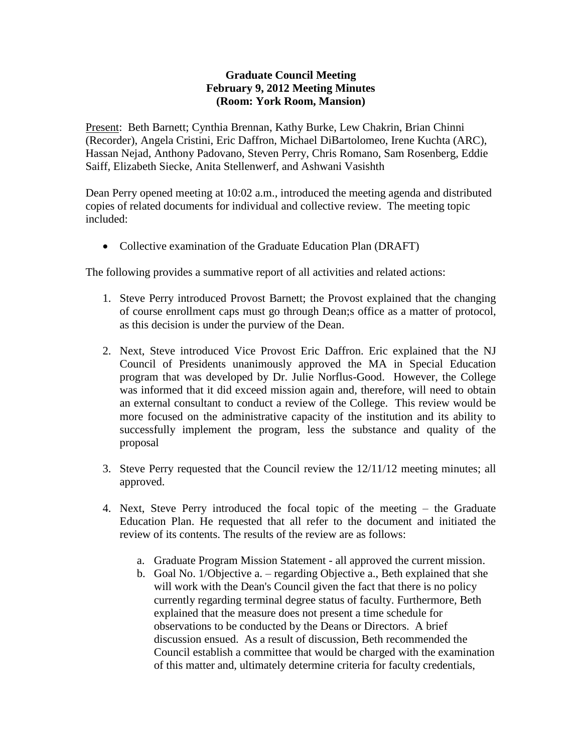## **Graduate Council Meeting February 9, 2012 Meeting Minutes (Room: York Room, Mansion)**

Present: Beth Barnett; Cynthia Brennan, Kathy Burke, Lew Chakrin, Brian Chinni (Recorder), Angela Cristini, Eric Daffron, Michael DiBartolomeo, Irene Kuchta (ARC), Hassan Nejad, Anthony Padovano, Steven Perry, Chris Romano, Sam Rosenberg, Eddie Saiff, Elizabeth Siecke, Anita Stellenwerf, and Ashwani Vasishth

Dean Perry opened meeting at 10:02 a.m., introduced the meeting agenda and distributed copies of related documents for individual and collective review. The meeting topic included:

• Collective examination of the Graduate Education Plan (DRAFT)

The following provides a summative report of all activities and related actions:

- 1. Steve Perry introduced Provost Barnett; the Provost explained that the changing of course enrollment caps must go through Dean;s office as a matter of protocol, as this decision is under the purview of the Dean.
- 2. Next, Steve introduced Vice Provost Eric Daffron. Eric explained that the NJ Council of Presidents unanimously approved the MA in Special Education program that was developed by Dr. Julie Norflus-Good. However, the College was informed that it did exceed mission again and, therefore, will need to obtain an external consultant to conduct a review of the College. This review would be more focused on the administrative capacity of the institution and its ability to successfully implement the program, less the substance and quality of the proposal
- 3. Steve Perry requested that the Council review the 12/11/12 meeting minutes; all approved.
- 4. Next, Steve Perry introduced the focal topic of the meeting the Graduate Education Plan. He requested that all refer to the document and initiated the review of its contents. The results of the review are as follows:
	- a. Graduate Program Mission Statement all approved the current mission.
	- b. Goal No. 1/Objective a. regarding Objective a., Beth explained that she will work with the Dean's Council given the fact that there is no policy currently regarding terminal degree status of faculty. Furthermore, Beth explained that the measure does not present a time schedule for observations to be conducted by the Deans or Directors. A brief discussion ensued. As a result of discussion, Beth recommended the Council establish a committee that would be charged with the examination of this matter and, ultimately determine criteria for faculty credentials,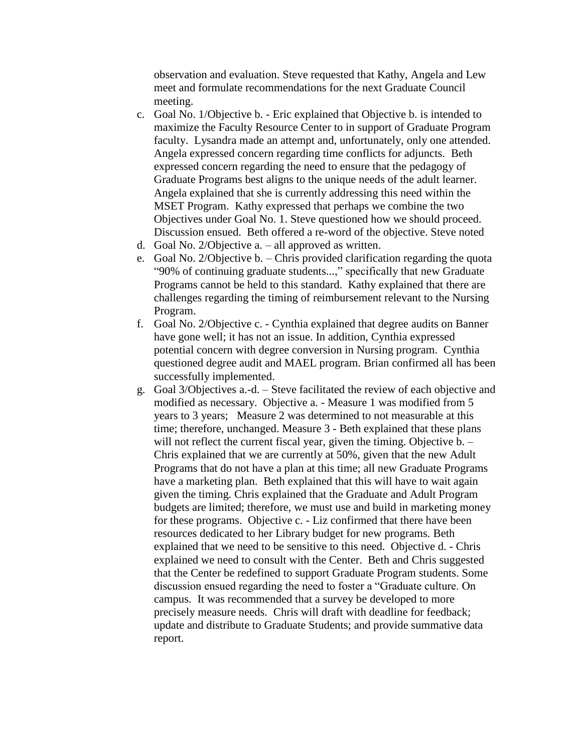observation and evaluation. Steve requested that Kathy, Angela and Lew meet and formulate recommendations for the next Graduate Council meeting.

- c. Goal No. 1/Objective b. Eric explained that Objective b. is intended to maximize the Faculty Resource Center to in support of Graduate Program faculty. Lysandra made an attempt and, unfortunately, only one attended. Angela expressed concern regarding time conflicts for adjuncts. Beth expressed concern regarding the need to ensure that the pedagogy of Graduate Programs best aligns to the unique needs of the adult learner. Angela explained that she is currently addressing this need within the MSET Program. Kathy expressed that perhaps we combine the two Objectives under Goal No. 1. Steve questioned how we should proceed. Discussion ensued. Beth offered a re-word of the objective. Steve noted
- d. Goal No. 2/Objective a. all approved as written.
- e. Goal No. 2/Objective b. Chris provided clarification regarding the quota "90% of continuing graduate students...," specifically that new Graduate Programs cannot be held to this standard. Kathy explained that there are challenges regarding the timing of reimbursement relevant to the Nursing Program.
- f. Goal No. 2/Objective c. Cynthia explained that degree audits on Banner have gone well; it has not an issue. In addition, Cynthia expressed potential concern with degree conversion in Nursing program. Cynthia questioned degree audit and MAEL program. Brian confirmed all has been successfully implemented.
- g. Goal 3/Objectives a.-d. Steve facilitated the review of each objective and modified as necessary. Objective a. - Measure 1 was modified from 5 years to 3 years; Measure 2 was determined to not measurable at this time; therefore, unchanged. Measure 3 - Beth explained that these plans will not reflect the current fiscal year, given the timing. Objective b. -Chris explained that we are currently at 50%, given that the new Adult Programs that do not have a plan at this time; all new Graduate Programs have a marketing plan. Beth explained that this will have to wait again given the timing. Chris explained that the Graduate and Adult Program budgets are limited; therefore, we must use and build in marketing money for these programs. Objective c. - Liz confirmed that there have been resources dedicated to her Library budget for new programs. Beth explained that we need to be sensitive to this need. Objective d. - Chris explained we need to consult with the Center. Beth and Chris suggested that the Center be redefined to support Graduate Program students. Some discussion ensued regarding the need to foster a "Graduate culture. On campus. It was recommended that a survey be developed to more precisely measure needs. Chris will draft with deadline for feedback; update and distribute to Graduate Students; and provide summative data report.